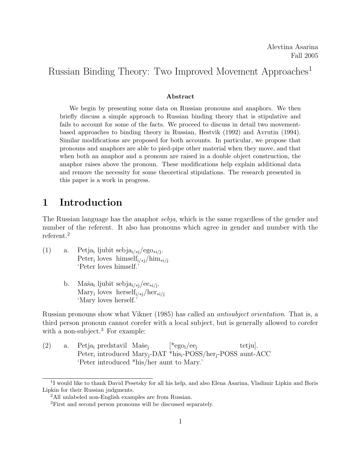# Russian Binding Theory: Two Improved Movement Approaches<sup>1</sup>

#### Abstract

We begin by presenting some data on Russian pronouns and anaphors. We then briefly discuss a simple approach to Russian binding theory that is stipulative and fails to account for some of the facts. We proceed to discuss in detail two movementbased approaches to binding theory in Russian, Hestvik (1992) and Avrutin (1994). Similar modifications are proposed for both accounts. In particular, we propose that pronouns and anaphors are able to pied-pipe other material when they move, and that when both an anaphor and a pronoun are raised in a double object construction, the anaphor raises above the pronoun. These modifications help explain additional data and remove the necessity for some theoretical stipulations. The research presented in this paper is a work in progress.

# 1 Introduction

The Russian language has the anaphor sebja, which is the same regardless of the gender and number of the referent. It also has pronouns which agree in gender and number with the referent.<sup>2</sup>

- (1) a. Petja<sub>i</sub> ljubit sebja<sub>i/\*j</sub>/ego<sub>\*i/j</sub>. Peter<sub>i</sub> loves himself<sub>i/\*j</sub>/him<sub>\*i/j</sub> 'Peter loves himself.'
	- b. Maša<sub>i</sub> ljubit sebja<sub>i/\*j</sub>/ee<sub>\*i/j</sub>. Mary<sub>i</sub> loves herself<sub>i/\*j</sub>/her<sub>\*i/j</sub> 'Mary loves herself.'

Russian pronouns show what Vikner (1985) has called an antisubject orientation. That is, a third person pronoun cannot corefer with a local subject, but is generally allowed to corefer with a non-subject.<sup>3</sup> For example:

(2) a. Petja<sub>i</sub> predstavil Maše<sub>j</sub> Peter<sub>i</sub> introduced Mary<sub>j</sub>-DAT \*his<sub>i</sub>-POSS/her<sub>j</sub>-POSS aunt-ACC  $[{}^*ego_i/ee_i]$ tetju]. 'Peter introduced \*his/her aunt to Mary.'

<sup>&</sup>lt;sup>1</sup>I would like to thank David Pesetsky for all his help, and also Elena Asarina, Vladimir Lipkin and Boris Lipkin for their Russian judgments.

<sup>2</sup>All unlabeled non-English examples are from Russian.

<sup>3</sup>First and second person pronouns will be discussed separately.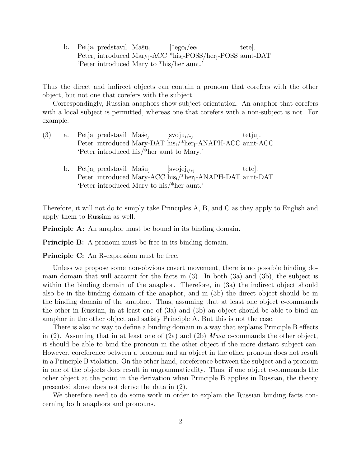b. Petja<sub>i</sub> predstavil Mašu<sub>j</sub> Peter<sub>i</sub> introduced Mary<sub>j</sub>-ACC \*his<sub>i</sub>-POSS/her<sub>j</sub>-POSS aunt-DAT  $[{}^*ego_i/ee_i]$ tete]. 'Peter introduced Mary to \*his/her aunt.'

Thus the direct and indirect objects can contain a pronoun that corefers with the other object, but not one that corefers with the subject.

Correspondingly, Russian anaphors show subject orientation. An anaphor that corefers with a local subject is permitted, whereas one that corefers with a non-subject is not. For example:

- (3) a. Petja<sub>i</sub> predstavil Maše<sub>j</sub> Peter introduced Mary-DAT his<sub>i</sub>/\*her<sub>j</sub>-ANAPH-ACC aunt-ACC  $[svoju_{i/*j}]$ tetju]. 'Peter introduced his/\*her aunt to Mary.'
	- b. Petja<sub>i</sub> predstavil Mašu<sub>j</sub> Peter introduced Mary-ACC his<sub>i</sub>/\*her<sub>j</sub>-ANAPH-DAT aunt-DAT [svojej<sup>i</sup>/∗<sup>j</sup> tete]. 'Peter introduced Mary to his/\*her aunt.'

Therefore, it will not do to simply take Principles A, B, and C as they apply to English and apply them to Russian as well.

**Principle A:** An anaphor must be bound in its binding domain.

**Principle B:** A pronoun must be free in its binding domain.

Principle C: An R-expression must be free.

Unless we propose some non-obvious covert movement, there is no possible binding domain domain that will account for the facts in (3). In both (3a) and (3b), the subject is within the binding domain of the anaphor. Therefore, in  $(3a)$  the indirect object should also be in the binding domain of the anaphor, and in (3b) the direct object should be in the binding domain of the anaphor. Thus, assuming that at least one object c-commands the other in Russian, in at least one of (3a) and (3b) an object should be able to bind an anaphor in the other object and satisfy Principle A. But this is not the case.

There is also no way to define a binding domain in a way that explains Principle B effects in (2). Assuming that in at least one of (2a) and (2b)  $Ma\check{s}a$  c-commands the other object, it should be able to bind the pronoun in the other object if the more distant subject can. However, coreference between a pronoun and an object in the other pronoun does not result in a Principle B violation. On the other hand, coreference between the subject and a pronoun in one of the objects does result in ungrammaticality. Thus, if one object c-commands the other object at the point in the derivation when Principle B applies in Russian, the theory presented above does not derive the data in (2).

We therefore need to do some work in order to explain the Russian binding facts concerning both anaphors and pronouns.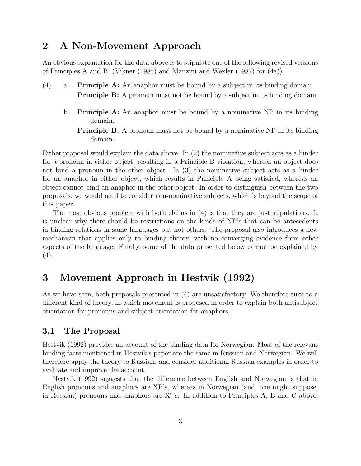# 2 A Non-Movement Approach

An obvious explanation for the data above is to stipulate one of the following revised versions of Principles A and B: (Vikner (1985) and Manzini and Wexler (1987) for (4a))

- (4) a. Principle A: An anaphor must be bound by a subject in its binding domain. **Principle B:** A pronoun must not be bound by a subject in its binding domain.
	- b. Principle A: An anaphor must be bound by a nominative NP in its binding domain.
		- **Principle B:** A pronoun must not be bound by a nominative NP in its binding domain.

Either proposal would explain the data above. In (2) the nominative subject acts as a binder for a pronoun in either object, resulting in a Principle B violation, whereas an object does not bind a pronoun in the other object. In (3) the nominative subject acts as a binder for an anaphor in either object, which results in Principle A being satisfied, whereas an object cannot bind an anaphor in the other object. In order to distinguish between the two proposals, we would need to consider non-nominative subjects, which is beyond the scope of this paper.

The most obvious problem with both claims in (4) is that they are just stipulations. It is unclear why there should be restrictions on the kinds of NP's that can be antecedents in binding relations in some languages but not others. The proposal also introduces a new mechanism that applies only to binding theory, with no converging evidence from other aspects of the language. Finally, some of the data presented below cannot be explained by  $(4).$ 

# 3 Movement Approach in Hestvik (1992)

As we have seen, both proposals presented in (4) are unsatisfactory. We therefore turn to a different kind of theory, in which movement is proposed in order to explain both antisubject orientation for pronouns and subject orientation for anaphors.

## 3.1 The Proposal

Hestvik (1992) provides an account of the binding data for Norwegian. Most of the relevant binding facts mentioned in Hestvik's paper are the same in Russian and Norwegian. We will therefore apply the theory to Russian, and consider additional Russian examples in order to evaluate and improve the account.

Hestvik (1992) suggests that the difference between English and Norwegian is that in English pronouns and anaphors are XP's, whereas in Norwegian (and, one might suppose, in Russian) pronouns and anaphors are  $X^0$ 's. In addition to Principles A, B and C above,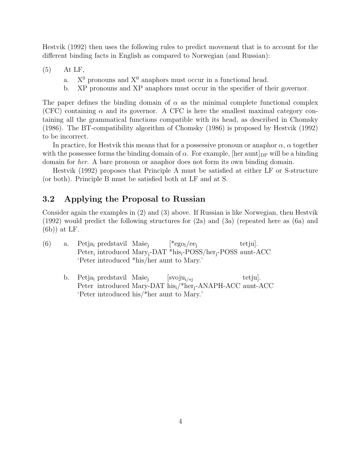Hestvik (1992) then uses the following rules to predict movement that is to account for the different binding facts in English as compared to Norwegian (and Russian):

(5) At LF,

- a.  $X^0$  pronouns and  $X^0$  anaphors must occur in a functional head.
- b. XP pronouns and XP anaphors must occur in the specifier of their governor.

The paper defines the binding domain of  $\alpha$  as the minimal complete functional complex (CFC) containing  $\alpha$  and its governor. A CFC is here the smallest maximal category containing all the grammatical functions compatible with its head, as described in Chomsky (1986). The BT-compatibility algorithm of Chomsky (1986) is proposed by Hestvik (1992) to be incorrect.

In practice, for Hestvik this means that for a possessive pronoun or anaphor  $\alpha$ ,  $\alpha$  together with the possessee forms the binding domain of  $\alpha$ . For example, [her aunt]<sub>DP</sub> will be a binding domain for her. A bare pronoun or anaphor does not form its own binding domain.

Hestvik (1992) proposes that Principle A must be satisfied at either LF or S-structure (or both). Principle B must be satisfied both at LF and at S.

## 3.2 Applying the Proposal to Russian

Consider again the examples in (2) and (3) above. If Russian is like Norwegian, then Hestvik (1992) would predict the following structures for (2a) and (3a) (repeated here as (6a) and (6b)) at LF.

- (6) a. Petja<sub>i</sub> predstavil Maše<sub>j</sub> Peter<sub>i</sub> introduced Mary<sub>j</sub>-DAT \*his<sub>i</sub>-POSS/her<sub>j</sub>-POSS aunt-ACC  $[{}^*ego_i/ee_i]$ tetiu. 'Peter introduced \*his/her aunt to Mary.'
	- b. Petja<sub>i</sub> predstavil Maše<sub>j</sub> Peter introduced Mary-DAT his<sub>i</sub>/\*her<sub>j</sub>-ANAPH-ACC aunt-ACC  $\left[\mathrm{svoju}_{i\}/_{*i}\right]$ tetju]. 'Peter introduced his/\*her aunt to Mary.'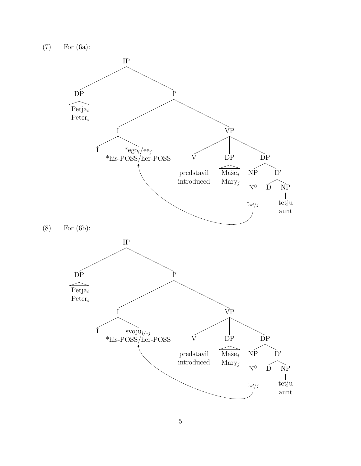(7) For (6a):

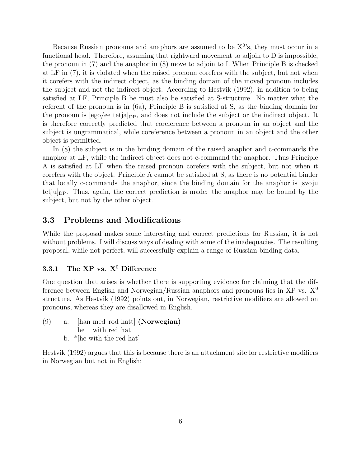Because Russian pronouns and anaphors are assumed to be  $X<sup>0</sup>$ 's, they must occur in a functional head. Therefore, assuming that rightward movement to adjoin to D is impossible, the pronoun in (7) and the anaphor in (8) move to adjoin to I. When Principle B is checked at LF in (7), it is violated when the raised pronoun corefers with the subject, but not when it corefers with the indirect object, as the binding domain of the moved pronoun includes the subject and not the indirect object. According to Hestvik (1992), in addition to being satisfied at LF, Principle B be must also be satisfied at S-structure. No matter what the referent of the pronoun is in (6a), Principle B is satisfied at S, as the binding domain for the pronoun is  $[ego/ee \text{ tetial}_{DP}$ , and does not include the subject or the indirect object. It is therefore correctly predicted that coreference between a pronoun in an object and the subject is ungrammatical, while coreference between a pronoun in an object and the other object is permitted.

In (8) the subject is in the binding domain of the raised anaphor and c-commands the anaphor at LF, while the indirect object does not c-command the anaphor. Thus Principle A is satisfied at LF when the raised pronoun corefers with the subject, but not when it corefers with the object. Principle A cannot be satisfied at S, as there is no potential binder that locally c-commands the anaphor, since the binding domain for the anaphor is [svoju tetju $|_{\text{DP}}$ . Thus, again, the correct prediction is made: the anaphor may be bound by the subject, but not by the other object.

#### 3.3 Problems and Modifications

While the proposal makes some interesting and correct predictions for Russian, it is not without problems. I will discuss ways of dealing with some of the inadequacies. The resulting proposal, while not perfect, will successfully explain a range of Russian binding data.

#### 3.3.1 The XP vs.  $X^0$  Difference

One question that arises is whether there is supporting evidence for claiming that the difference between English and Norwegian/Russian anaphors and pronouns lies in  $XP$  vs.  $X^0$ structure. As Hestvik (1992) points out, in Norwegian, restrictive modifiers are allowed on pronouns, whereas they are disallowed in English.

(9) a. [han med rod hatt] (Norwegian) he with red hat b. \*[he with the red hat]

Hestvik (1992) argues that this is because there is an attachment site for restrictive modifiers in Norwegian but not in English: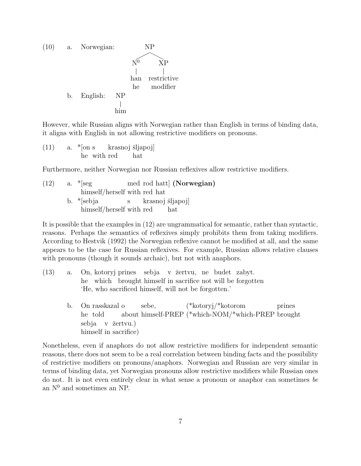

However, while Russian aligns with Norwegian rather than English in terms of binding data, it aligns with English in not allowing restrictive modifiers on pronouns.

(11) a. \*[on s he with red krasnoj šljapoj] hat

Furthermore, neither Norwegian nor Russian reflexives allow restrictive modifiers.

 $(12)$  a. \*[seg himself/herself with red hat med rod hatt (Norwegian) b. \*[sebja himself/herself with red s krasnoj šljapoj] hat

It is possible that the examples in (12) are ungrammatical for semantic, rather than syntactic, reasons. Perhaps the semantics of reflexives simply prohibits them from taking modifiers. According to Hestvik (1992) the Norwegian reflexive cannot be modified at all, and the same appears to be the case for Russian reflexives. For example, Russian allows relative clauses with pronouns (though it sounds archaic), but not with anaphors.

- $(13)$  a. he which brought himself in sacrifice not will be forgotten kotoryj prines sebja v žertvu, ne budet zabyt. 'He, who sacrificed himself, will not be forgotten.'
	- b. On rasskazal o he told about himself-PREP (\*which-NOM/\*which-PREP brought sebe, (\*kotoryj/\*kotorom prines sebja v žertvu.) himself in sacrifice)

Nonetheless, even if anaphors do not allow restrictive modifiers for independent semantic reasons, there does not seem to be a real correlation between binding facts and the possibility of restrictive modifiers on pronouns/anaphors. Norwegian and Russian are very similar in terms of binding data, yet Norwegian pronouns allow restrictive modifiers while Russian ones do not. It is not even entirely clear in what sense a pronoun or anaphor can sometimes be an  $N^0$  and sometimes an NP.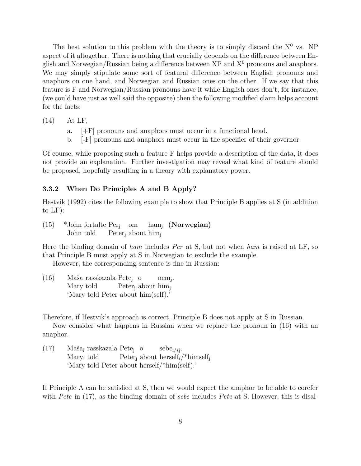The best solution to this problem with the theory is to simply discard the  $N^0$  vs. NP aspect of it altogether. There is nothing that crucially depends on the difference between English and Norwegian/Russian being a difference between  $XP$  and  $X^0$  pronouns and anaphors. We may simply stipulate some sort of featural difference between English pronouns and anaphors on one hand, and Norwegian and Russian ones on the other. If we say that this feature is F and Norwegian/Russian pronouns have it while English ones don't, for instance, (we could have just as well said the opposite) then the following modified claim helps account for the facts:

(14) At LF,

- a. [+F] pronouns and anaphors must occur in a functional head.
- b. [-F] pronouns and anaphors must occur in the specifier of their governor.

Of course, while proposing such a feature F helps provide a description of the data, it does not provide an explanation. Further investigation may reveal what kind of feature should be proposed, hopefully resulting in a theory with explanatory power.

#### 3.3.2 When Do Principles A and B Apply?

Hestvik (1992) cites the following example to show that Principle B applies at S (in addition to LF):

(15) \*John fortalte Per<sup>j</sup> om John told Peter<sub>j</sub> about him<sub>j</sub> ham<sub>j</sub>. (**Norwegian**)

Here the binding domain of ham includes Per at S, but not when ham is raised at LF, so that Principle B must apply at S in Norwegian to exclude the example.

However, the corresponding sentence is fine in Russian:

(16) – Maša rasskazala Pete<sub>j</sub>o Mary told Peter<sub>j</sub> about him<sub>j</sub> nem<sup>j</sup> . 'Mary told Peter about him(self).'

Therefore, if Hestvik's approach is correct, Principle B does not apply at S in Russian.

Now consider what happens in Russian when we replace the pronoun in (16) with an anaphor.

(17) – Maša<sub>i</sub> rasskazala Pete<sub>j</sub> o Mary<sup>i</sup> told Peter<sub>j</sub> about herself<sub>i</sub>/\*himself<sub>j</sub> sebe<sup>i</sup>/∗<sup>j</sup> . 'Mary told Peter about herself/\*him(self).'

If Principle A can be satisfied at S, then we would expect the anaphor to be able to corefer with Pete in  $(17)$ , as the binding domain of sebe includes Pete at S. However, this is disal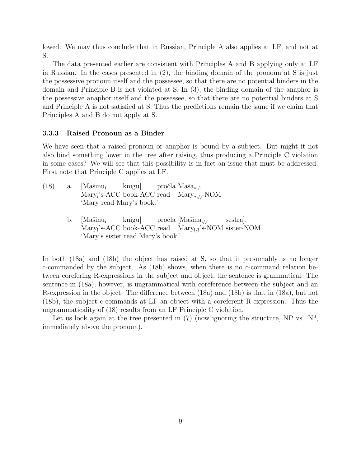lowed. We may thus conclude that in Russian, Principle A also applies at LF, and not at S.

The data presented earlier are consistent with Principles A and B applying only at LF in Russian. In the cases presented in (2), the binding domain of the pronoun at S is just the possessive pronoun itself and the possessee, so that there are no potential binders in the domain and Principle B is not violated at S. In (3), the binding domain of the anaphor is the possessive anaphor itself and the possessee, so that there are no potential binders at S and Principle A is not satisfied at S. Thus the predictions remain the same if we claim that Principles A and B do not apply at S.

#### 3.3.3 Raised Pronoun as a Binder

We have seen that a raised pronoun or anaphor is bound by a subject. But might it not also bind something lower in the tree after raising, thus producing a Principle C violation in some cases? We will see that this possibility is in fact an issue that must be addressed. First note that Principle C applies at LF.

- $(18)$  a.  $|\text{Mašinu}_i|$ Mary<sup>i</sup> 's-ACC book-ACC read Mary<sup>∗</sup>i/<sup>j</sup>-NOM knigu] pročla Maša<sub>∗i/j</sub>. 'Mary read Mary's book.'
	- b. [Mašinu<sub>i</sub> Mary<sub>i</sub>'s-ACC book-ACC read Mary<sub>i/j</sub>'s-NOM sister-NOM knigu] pročla [Mašina<sub>i/j</sub> sestra]. 'Mary's sister read Mary's book.'

In both (18a) and (18b) the object has raised at S, so that it presumably is no longer c-commanded by the subject. As (18b) shows, when there is no c-command relation between corefering R-expressions in the subject and object, the sentence is grammatical. The sentence in (18a), however, is ungrammatical with coreference between the subject and an R-expression in the object. The difference between (18a) and (18b) is that in (18a), but not (18b), the subject c-commands at LF an object with a coreferent R-expression. Thus the ungrammaticality of (18) results from an LF Principle C violation.

Let us look again at the tree presented in (7) (now ignoring the structure, NP vs.  $N^0$ , immediately above the pronoun).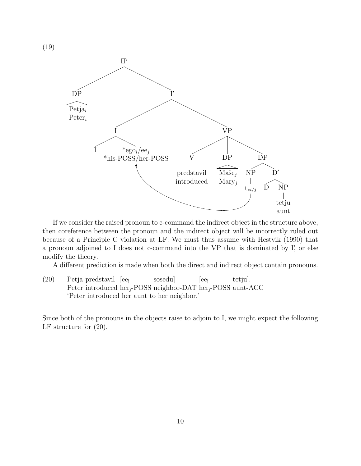

If we consider the raised pronoun to c-command the indirect object in the structure above, then coreference between the pronoun and the indirect object will be incorrectly ruled out because of a Principle C violation at LF. We must thus assume with Hestvik (1990) that a pronoun adjoined to I does not c-command into the VP that is dominated by I', or else modify the theory.

A different prediction is made when both the direct and indirect object contain pronouns.

(20) Petja predstavil [ee<sup>j</sup> Peter introduced her<sub>j</sub>-POSS neighbor-DAT her<sub>j</sub>-POSS aunt-ACC sosedu]  $|ee_i|$ tetju]. 'Peter introduced her aunt to her neighbor.'

Since both of the pronouns in the objects raise to adjoin to I, we might expect the following LF structure for (20).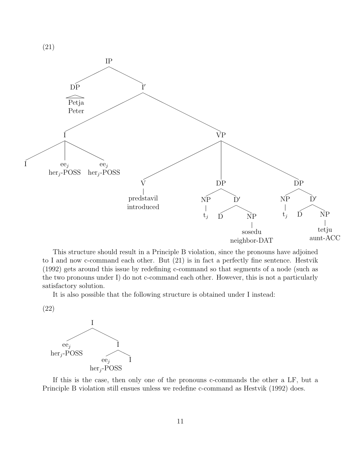

This structure should result in a Principle B violation, since the pronouns have adjoined to I and now c-command each other. But (21) is in fact a perfectly fine sentence. Hestvik (1992) gets around this issue by redefining c-command so that segments of a node (such as the two pronouns under I) do not c-command each other. However, this is not a particularly satisfactory solution.

It is also possible that the following structure is obtained under I instead:

(22)



If this is the case, then only one of the pronouns c-commands the other a LF, but a Principle B violation still ensues unless we redefine c-command as Hestvik (1992) does.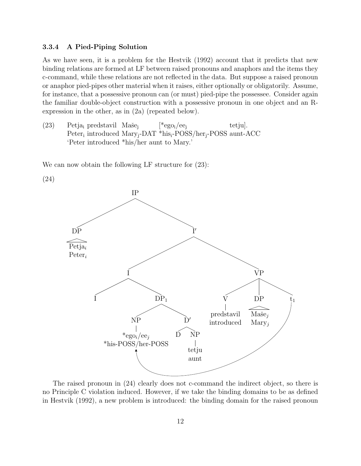#### 3.3.4 A Pied-Piping Solution

(24)

As we have seen, it is a problem for the Hestvik (1992) account that it predicts that new binding relations are formed at LF between raised pronouns and anaphors and the items they c-command, while these relations are not reflected in the data. But suppose a raised pronoun or anaphor pied-pipes other material when it raises, either optionally or obligatorily. Assume, for instance, that a possessive pronoun can (or must) pied-pipe the possessee. Consider again the familiar double-object construction with a possessive pronoun in one object and an Rexpression in the other, as in (2a) (repeated below).

(23) Petja<sub>i</sub> predstavil Maše<sub>j</sub> Peter<sub>i</sub> introduced Mary<sub>j</sub>-DAT \*his<sub>i</sub>-POSS/her<sub>j</sub>-POSS aunt-ACC  $[{}^*ego_i/ee_i]$ tetju]. 'Peter introduced \*his/her aunt to Mary.'

We can now obtain the following LF structure for  $(23)$ :



The raised pronoun in (24) clearly does not c-command the indirect object, so there is no Principle C violation induced. However, if we take the binding domains to be as defined in Hestvik (1992), a new problem is introduced: the binding domain for the raised pronoun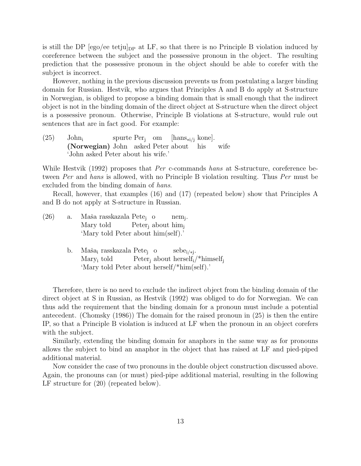is still the DP  $[ego/ee tetju]_{DP}$  at LF, so that there is no Principle B violation induced by coreference between the subject and the possessive pronoun in the object. The resulting prediction that the possessive pronoun in the object should be able to corefer with the subject is incorrect.

However, nothing in the previous discussion prevents us from postulating a larger binding domain for Russian. Hestvik, who argues that Principles A and B do apply at S-structure in Norwegian, is obliged to propose a binding domain that is small enough that the indirect object is not in the binding domain of the direct object at S-structure when the direct object is a possessive pronoun. Otherwise, Principle B violations at S-structure, would rule out sentences that are in fact good. For example:

 $(25)$  John<sub>i</sub> (Norwegian) John asked Peter about spurte Per<sup>j</sup> om [hans<sup>∗</sup>i/<sup>j</sup> kone]. his wife 'John asked Peter about his wife.'

While Hestvik (1992) proposes that *Per* c-commands hans at S-structure, coreference between Per and hans is allowed, with no Principle B violation resulting. Thus Per must be excluded from the binding domain of hans.

Recall, however, that examples (16) and (17) (repeated below) show that Principles A and B do not apply at S-structure in Russian.

- (26) a. Maša rasskazala Pete<sub>j</sub>o Mary told Peter<sub>j</sub> about him<sub>j</sub> nem<sup>j</sup> . 'Mary told Peter about him(self).'
	- b. Maša<sub>i</sub> rasskazala Pete<sub>j</sub> o Mary<sup>i</sup> told Peter<sub>j</sub> about herself<sub>i</sub>/\*himself<sub>j</sub> sebe<sup>i</sup>/∗<sup>j</sup> . 'Mary told Peter about herself/\*him(self).'

Therefore, there is no need to exclude the indirect object from the binding domain of the direct object at S in Russian, as Hestvik (1992) was obliged to do for Norwegian. We can thus add the requirement that the binding domain for a pronoun must include a potential antecedent. (Chomsky (1986)) The domain for the raised pronoun in (25) is then the entire IP, so that a Principle B violation is induced at LF when the pronoun in an object corefers with the subject.

Similarly, extending the binding domain for anaphors in the same way as for pronouns allows the subject to bind an anaphor in the object that has raised at LF and pied-piped additional material.

Now consider the case of two pronouns in the double object construction discussed above. Again, the pronouns can (or must) pied-pipe additional material, resulting in the following LF structure for (20) (repeated below).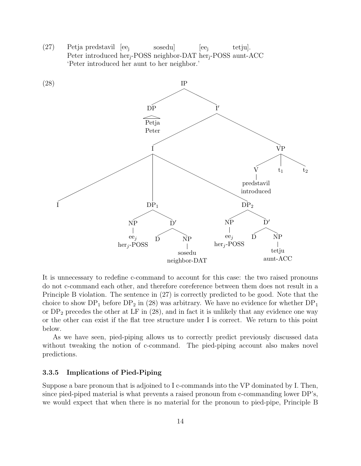(27) Petja predstavil [ee<sup>j</sup> Peter introduced her<sub>j</sub>-POSS neighbor-DAT her<sub>j</sub>-POSS aunt-ACC sosedu]  $|ee_i$ tetju]. 'Peter introduced her aunt to her neighbor.'



It is unnecessary to redefine c-command to account for this case: the two raised pronouns do not c-command each other, and therefore coreference between them does not result in a Principle B violation. The sentence in (27) is correctly predicted to be good. Note that the choice to show  $DP_1$  before  $DP_2$  in (28) was arbitrary. We have no evidence for whether  $DP_1$ or  $DP<sub>2</sub>$  precedes the other at LF in (28), and in fact it is unlikely that any evidence one way or the other can exist if the flat tree structure under I is correct. We return to this point below.

As we have seen, pied-piping allows us to correctly predict previously discussed data without tweaking the notion of c-command. The pied-piping account also makes novel predictions.

#### 3.3.5 Implications of Pied-Piping

Suppose a bare pronoun that is adjoined to I c-commands into the VP dominated by I. Then, since pied-piped material is what prevents a raised pronoun from c-commanding lower DP's, we would expect that when there is no material for the pronoun to pied-pipe, Principle B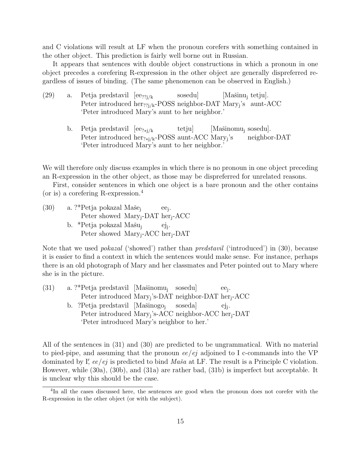and C violations will result at LF when the pronoun corefers with something contained in the other object. This prediction is fairly well borne out in Russian.

It appears that sentences with double object constructions in which a pronoun in one object precedes a corefering R-expression in the other object are generally dispreferred regardless of issues of binding. (The same phenomenon can be observed in English.)

| (29) | a. Petja predstavil $[ee_{?i/k}]$                                                      | sosedu | [Mašinu <sub>i</sub> tetju]. |  |
|------|----------------------------------------------------------------------------------------|--------|------------------------------|--|
|      | Peter introduced her <sub>??i/k</sub> -POSS neighbor-DAT Mary <sub>i</sub> 's aunt-ACC |        |                              |  |
|      | 'Peter introduced Mary's aunt to her neighbor.'                                        |        |                              |  |

b. Petja predstavil [ee?∗j/<sup>k</sup> Peter introduced her<sub>?∗j/k</sub>-POSS aunt-ACC Mary<sub>j</sub>'s tetju] [Mašinomu<sub>j</sub> sosedu]. neighbor-DAT 'Peter introduced Mary's aunt to her neighbor.'

We will therefore only discuss examples in which there is no pronoun in one object preceding an R-expression in the other object, as those may be dispreferred for unrelated reasons.

First, consider sentences in which one object is a bare pronoun and the other contains (or is) a corefering R-expression.<sup>4</sup>

(30) – a. ?\*Petja pokazal Maše<sub>j</sub> Peter showed Mary<sub>j</sub>-DAT her<sub>j</sub>-ACC ee<sup>j</sup> . b. \*Petja pokazal Mašu<sub>j</sub> Peter showed Mary<sub>j</sub>-ACC her<sub>j</sub>-DAT ejj .

Note that we used *pokazal* ('showed') rather than *predstavil* ('introduced') in (30), because it is easier to find a context in which the sentences would make sense. For instance, perhaps there is an old photograph of Mary and her classmates and Peter pointed out to Mary where she is in the picture.

(31) a. ?\*Petja predstavil [Mašinomu<sub>j</sub> sosedu] Peter introduced Mary<sub>j</sub>'s-DAT neighbor-DAT her<sub>j</sub>-ACC ee<sup>j</sup> . b. ?Petja predstavil [Mašinogo<sub>j</sub> Peter introduced Mary<sub>j</sub>'s-ACC neighbor-ACC her<sub>j</sub>-DAT soseda] ejj . 'Peter introduced Mary's neighbor to her.'

All of the sentences in (31) and (30) are predicted to be ungrammatical. With no material to pied-pipe, and assuming that the pronoun ee/ej adjoined to I c-commands into the VP dominated by I', ee/ej is predicted to bind  $Ma\check{s}a$  at LF. The result is a Principle C violation. However, while (30a), (30b), and (31a) are rather bad, (31b) is imperfect but acceptable. It is unclear why this should be the case.

<sup>&</sup>lt;sup>4</sup>In all the cases discussed here, the sentences are good when the pronoun does not corefer with the R-expression in the other object (or with the subject).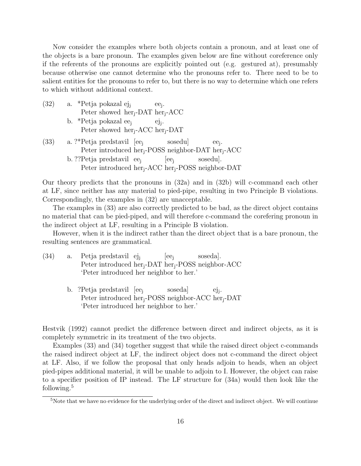Now consider the examples where both objects contain a pronoun, and at least one of the objects is a bare pronoun. The examples given below are fine without coreference only if the referents of the pronouns are explicitly pointed out (e.g. gestured at), presumably because otherwise one cannot determine who the pronouns refer to. There need to be to salient entities for the pronouns to refer to, but there is no way to determine which one refers to which without additional context.

- (32) a. \*Petja pokazal ejj Peter showed her<sub>j</sub>-DAT her<sub>j</sub>-ACC ee<sup>j</sup> .
	- b. \*Petja pokazal ee<sub>j</sub> Peter showed her<sub>j</sub>-ACC her<sub>j</sub>-DAT ejj .
- (33) a. ?\*Petja predstavil [ee<sup>j</sup> Peter introduced her<sub>j</sub>-POSS neighbor-DAT her<sub>j</sub>-ACC sosedu] ee<sup>j</sup> . b. ??Petja predstavil ee<sup>j</sup> Peter introduced her<sub>j</sub>-ACC her<sub>j</sub>-POSS neighbor-DAT  $|ee_i|$ sosedu].

Our theory predicts that the pronouns in (32a) and in (32b) will c-command each other at LF, since neither has any material to pied-pipe, resulting in two Principle B violations. Correspondingly, the examples in (32) are unacceptable.

The examples in (33) are also correctly predicted to be bad, as the direct object contains no material that can be pied-piped, and will therefore c-command the corefering pronoun in the indirect object at LF, resulting in a Principle B violation.

However, when it is the indirect rather than the direct object that is a bare pronoun, the resulting sentences are grammatical.

- (34) a. Petja predstavil ejj Peter introduced her<sub>j</sub>-DAT her<sub>j</sub>-POSS neighbor-ACC  $[ee_i]$ soseda]. 'Peter introduced her neighbor to her.'
	- b. ?Petja predstavil [ee<sup>j</sup> Peter introduced her<sub>j</sub>-POSS neighbor-ACC her<sub>j</sub>-DAT soseda] ejj . 'Peter introduced her neighbor to her.'

Hestvik (1992) cannot predict the difference between direct and indirect objects, as it is completely symmetric in its treatment of the two objects.

Examples (33) and (34) together suggest that while the raised direct object c-commands the raised indirect object at LF, the indirect object does not c-command the direct object at LF. Also, if we follow the proposal that only heads adjoin to heads, when an object pied-pipes additional material, it will be unable to adjoin to I. However, the object can raise to a specifier position of IP instead. The LF structure for (34a) would then look like the following.<sup>5</sup>

<sup>&</sup>lt;sup>5</sup>Note that we have no evidence for the underlying order of the direct and indirect object. We will continue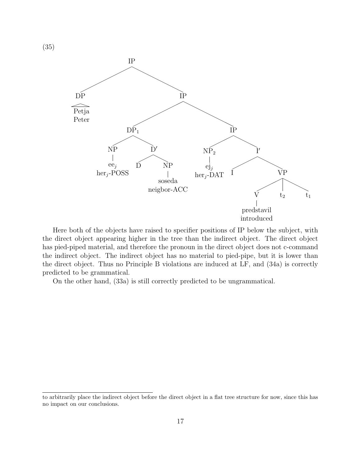

Here both of the objects have raised to specifier positions of IP below the subject, with the direct object appearing higher in the tree than the indirect object. The direct object has pied-piped material, and therefore the pronoun in the direct object does not c-command the indirect object. The indirect object has no material to pied-pipe, but it is lower than the direct object. Thus no Principle B violations are induced at LF, and (34a) is correctly predicted to be grammatical.

On the other hand, (33a) is still correctly predicted to be ungrammatical.

to arbitrarily place the indirect object before the direct object in a flat tree structure for now, since this has no impact on our conclusions.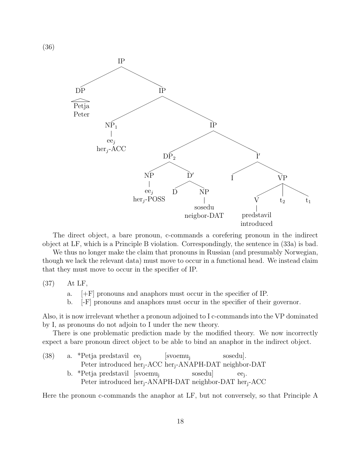

The direct object, a bare pronoun, c-commands a corefering pronoun in the indirect object at LF, which is a Principle B violation. Correspondingly, the sentence in (33a) is bad.

We thus no longer make the claim that pronouns in Russian (and presumably Norwegian, though we lack the relevant data) must move to occur in a functional head. We instead claim that they must move to occur in the specifier of IP.

(37) At LF,

- a. [+F] pronouns and anaphors must occur in the specifier of IP.
- b. [-F] pronouns and anaphors must occur in the specifier of their governor.

Also, it is now irrelevant whether a pronoun adjoined to I c-commands into the VP dominated by I, as pronouns do not adjoin to I under the new theory.

There is one problematic prediction made by the modified theory. We now incorrectly expect a bare pronoun direct object to be able to bind an anaphor in the indirect object.

(38) a. \*Petja predstavil ee<sup>j</sup> Peter introduced her<sub>j</sub>-ACC her<sub>j</sub>-ANAPH-DAT neighbor-DAT [svoemu<sup>j</sup> sosedu]. b. \*Petja predstavil [svoemu<sup>j</sup> Peter introduced her<sub>j</sub>-ANAPH-DAT neighbor-DAT her<sub>j</sub>-ACC sosedu] ee<sup>j</sup> .

Here the pronoun c-commands the anaphor at LF, but not conversely, so that Principle A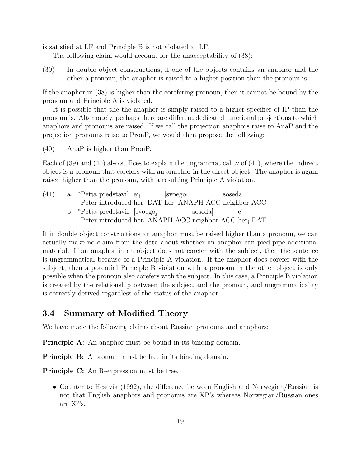is satisfied at LF and Principle B is not violated at LF.

The following claim would account for the unacceptability of (38):

(39) In double object constructions, if one of the objects contains an anaphor and the other a pronoun, the anaphor is raised to a higher position than the pronoun is.

If the anaphor in (38) is higher than the corefering pronoun, then it cannot be bound by the pronoun and Principle A is violated.

It is possible that the the anaphor is simply raised to a higher specifier of IP than the pronoun is. Alternately, perhaps there are different dedicated functional projections to which anaphors and pronouns are raised. If we call the projection anaphors raise to AnaP and the projection pronouns raise to PronP, we would then propose the following:

(40) AnaP is higher than PronP.

Each of (39) and (40) also suffices to explain the ungrammaticality of (41), where the indirect object is a pronoun that corefers with an anaphor in the direct object. The anaphor is again raised higher than the pronoun, with a resulting Principle A violation.

| (41) |  | a. *Petja predstavil ej                                                         | $ $ svoego <sub>i</sub> |        | soseda. |                    |  |
|------|--|---------------------------------------------------------------------------------|-------------------------|--------|---------|--------------------|--|
|      |  | Peter introduced her <sub>i</sub> -DAT her <sub>i</sub> -ANAPH-ACC neighbor-ACC |                         |        |         |                    |  |
|      |  | b. *Petja predstavil [svoego <sub>i</sub> ]                                     |                         | soseda |         | $e$ <sub>i</sub> . |  |
|      |  | Peter introduced her <sub>i</sub> -ANAPH-ACC neighbor-ACC her <sub>i</sub> -DAT |                         |        |         |                    |  |

If in double object constructions an anaphor must be raised higher than a pronoun, we can actually make no claim from the data about whether an anaphor can pied-pipe additional material. If an anaphor in an object does not corefer with the subject, then the sentence is ungrammatical because of a Principle A violation. If the anaphor does corefer with the subject, then a potential Principle B violation with a pronoun in the other object is only possible when the pronoun also corefers with the subject. In this case, a Principle B violation is created by the relationship between the subject and the pronoun, and ungrammaticality is correctly derived regardless of the status of the anaphor.

## 3.4 Summary of Modified Theory

We have made the following claims about Russian pronouns and anaphors:

**Principle A:** An anaphor must be bound in its binding domain.

**Principle B:** A pronoun must be free in its binding domain.

Principle C: An R-expression must be free.

• Counter to Hestvik (1992), the difference between English and Norwegian/Russian is not that English anaphors and pronouns are XP's whereas Norwegian/Russian ones are  $X^{0}$ 's.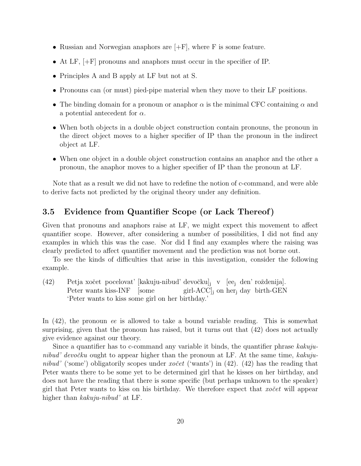- Russian and Norwegian anaphors are  $[+F]$ , where F is some feature.
- At LF, [+F] pronouns and anaphors must occur in the specifier of IP.
- Principles A and B apply at LF but not at S.
- Pronouns can (or must) pied-pipe material when they move to their LF positions.
- The binding domain for a pronoun or anaphor  $\alpha$  is the minimal CFC containing  $\alpha$  and a potential antecedent for  $\alpha$ .
- When both objects in a double object construction contain pronouns, the pronoun in the direct object moves to a higher specifier of IP than the pronoun in the indirect object at LF.
- When one object in a double object construction contains an anaphor and the other a pronoun, the anaphor moves to a higher specifier of IP than the pronoun at LF.

Note that as a result we did not have to redefine the notion of c-command, and were able to derive facts not predicted by the original theory under any definition.

## 3.5 Evidence from Quantifier Scope (or Lack Thereof)

Given that pronouns and anaphors raise at LF, we might expect this movement to affect quantifier scope. However, after considering a number of possibilities, I did not find any examples in which this was the case. Nor did I find any examples where the raising was clearly predicted to affect quantifier movement and the prediction was not borne out.

To see the kinds of difficulties that arise in this investigation, consider the following example.

(42) Petja xočet pocelovat' [kakuju-nibud' devočku]<sub>j</sub> v [ee<sub>j</sub> den' roždenija]. Peter wants kiss-INF [some girl-ACC]<sup>j</sup> on her<sup>j</sup> day birth-GEN 'Peter wants to kiss some girl on her birthday.'

In (42), the pronoun ee is allowed to take a bound variable reading. This is somewhat surprising, given that the pronoun has raised, but it turns out that (42) does not actually give evidence against our theory.

Since a quantifier has to c-command any variable it binds, the quantifier phrase kakujunibud' devočku ought to appear higher than the pronoun at LF. At the same time, kakujunibud' ('some') obligatorily scopes under xo $\check{c}et$  ('wants') in (42). (42) has the reading that Peter wants there to be some yet to be determined girl that he kisses on her birthday, and does not have the reading that there is some specific (but perhaps unknown to the speaker) girl that Peter wants to kiss on his birthday. We therefore expect that  $xo\check{c}et$  will appear higher than *kakuju-nibud'* at LF.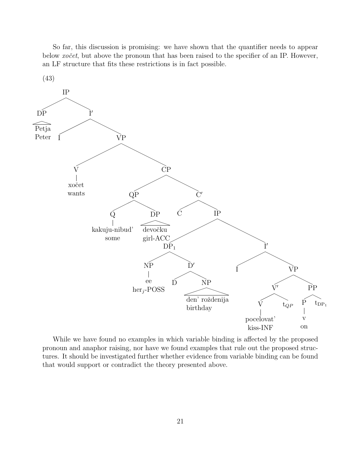So far, this discussion is promising: we have shown that the quantifier needs to appear below xo<sup> $\check{c}et$ </sup>, but above the pronoun that has been raised to the specifier of an IP. However, an LF structure that fits these restrictions is in fact possible.



While we have found no examples in which variable binding is affected by the proposed pronoun and anaphor raising, nor have we found examples that rule out the proposed structures. It should be investigated further whether evidence from variable binding can be found that would support or contradict the theory presented above.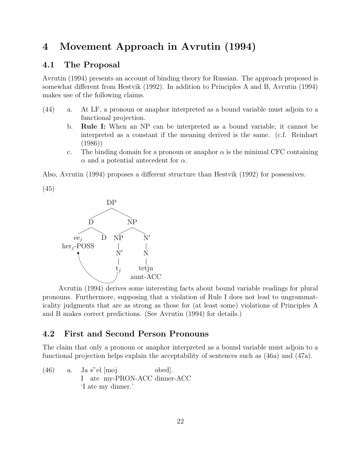# 4 Movement Approach in Avrutin (1994)

## 4.1 The Proposal

Avrutin (1994) presents an account of binding theory for Russian. The approach proposed is somewhat different from Hestvik (1992). In addition to Principles A and B, Avrutin (1994) makes use of the following claims.

- (44) a. At LF, a pronoun or anaphor interpreted as a bound variable must adjoin to a functional projection.
	- b. Rule I: When an NP can be interpreted as a bound variable, it cannot be interpreted as a constant if the meaning derived is the same. (c.f. Reinhart (1986))
	- c. The binding domain for a pronoun or anaphor  $\alpha$  is the minimal CFC containing  $\alpha$  and a potential antecedent for  $\alpha$ .

Also, Avrutin (1994) proposes a different structure than Hestvik (1992) for possessives.





Avrutin (1994) derives some interesting facts about bound variable readings for plural pronouns. Furthermore, supposing that a violation of Rule I does not lead to ungrammaticality judgments that are as strong as those for (at least some) violations of Principles A and B makes correct predictions. (See Avrutin (1994) for details.)

## 4.2 First and Second Person Pronouns

The claim that only a pronoun or anaphor interpreted as a bound variable must adjoin to a functional projection helps explain the acceptability of sentences such as (46a) and (47a).

 $(46)$  a. I ate my-PRON-ACC dinner-ACC s"el [moj obed]. 'I ate my dinner.'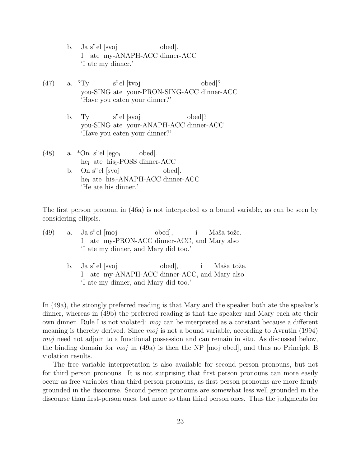- b. Ja s"el [svoj I ate my-ANAPH-ACC dinner-ACC obed]. 'I ate my dinner.'
- (47) a. ?Ty you-SING ate your-PRON-SING-ACC dinner-ACC s"el [tvoj obed]? 'Have you eaten your dinner?'
	- b. Ty you-SING ate your-ANAPH-ACC dinner-ACC s"el [svoj obed]? 'Have you eaten your dinner?'
- $(48)$  a. \*On<sub>i</sub> s"el [ego<sub>i</sub> he<sub>i</sub> ate his<sub>i</sub>-POSS dinner-ACC obed].
	- b. On s"el [svoj he<sub>i</sub> ate his<sub>i</sub>-ANAPH-ACC dinner-ACC obed]. 'He ate his dinner.'

The first person pronoun in (46a) is not interpreted as a bound variable, as can be seen by considering ellipsis.

- $(49)$  a. I ate my-PRON-ACC dinner-ACC, and Mary also s"el [moj obed], i Maša tože. 'I ate my dinner, and Mary did too.'
	- b. Ja s"el [svoj I ate my-ANAPH-ACC dinner-ACC, and Mary also obed], i Maša tože. 'I ate my dinner, and Mary did too.'

In (49a), the strongly preferred reading is that Mary and the speaker both ate the speaker's dinner, whereas in (49b) the preferred reading is that the speaker and Mary each ate their own dinner. Rule I is not violated: moj can be interpreted as a constant because a different meaning is thereby derived. Since  $m\dot{o}j$  is not a bound variable, according to Avrutin (1994) moj need not adjoin to a functional possession and can remain in situ. As discussed below, the binding domain for *moj* in (49a) is then the NP [moj obed], and thus no Principle B violation results.

The free variable interpretation is also available for second person pronouns, but not for third person pronouns. It is not surprising that first person pronouns can more easily occur as free variables than third person pronouns, as first person pronouns are more firmly grounded in the discourse. Second person pronouns are somewhat less well grounded in the discourse than first-person ones, but more so than third person ones. Thus the judgments for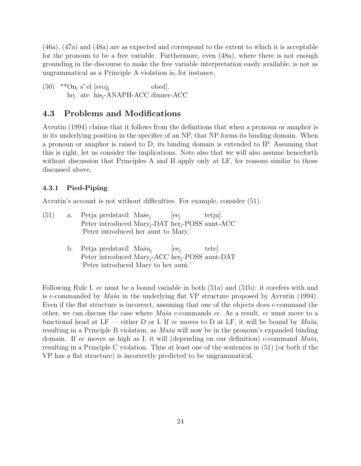(46a), (47a) and (48a) are as expected and correspond to the extent to which it is acceptable for the pronoun to be a free variable. Furthermore, even (48a), where there is not enough grounding in the discourse to make the free variable interpretation easily available, is not as ungrammatical as a Principle A violation is, for instance.

 $(50)$  \*\* $\text{On}_i$  s"el [svoj<sub>j</sub> he<sub>i</sub> ate his<sub>j</sub>-ANAPH-ACC dinner-ACC obed].

### 4.3 Problems and Modifications

Avrutin (1994) claims that it follows from the definitions that when a pronoun or anaphor is in its underlying position in the specifier of an NP, that NP forms its binding domain. When a pronoun or anaphor is raised to D, its binding domain is extended to IP. Assuming that this is right, let us consider the implications. Note also that we will also assume henceforth without discussion that Principles A and B apply only at LF, for reasons similar to those discussed above.

#### 4.3.1 Pied-Piping

Avrutin's account is not without difficulties. For example, consider (51).

| (51) |  | a. Petja predstavil Maše <sub>i</sub> |                                                                         | $ ee_i $ | tetju. |
|------|--|---------------------------------------|-------------------------------------------------------------------------|----------|--------|
|      |  |                                       | Peter introduced Mary <sub>i</sub> -DAT her <sub>i</sub> -POSS aunt-ACC |          |        |
|      |  |                                       | 'Peter introduced her aunt to Mary.'                                    |          |        |

b. Petja predstavil Mašu<sub>j</sub> Peter introduced Mary<sub>j</sub>-ACC her<sub>j</sub>-POSS aunt-DAT  $|ee_i|$ tete]. 'Peter introduced Mary to her aunt.'

Following Rule I, ee must be a bound variable in both (51a) and (51b): it corefers with and is c-commanded by  $Ma\check{s}a$  in the underlying flat VP structure proposed by Avrutin (1994). Even if the flat structure is incorrect, assuming that one of the objects does c-command the other, we can discuss the case where  $M\ddot{\alpha}\dot{\alpha}$  c-commands ee. As a result, ee must move to a functional head at LF — either D or I. If ee moves to D at LF, it will be bound by  $Ma\check{s}a$ , resulting in a Principle B violation, as  $Ma\check{s}a$  will now be in the pronoun's expanded binding domain. If ee moves as high as I, it will (depending on our definition) c-command  $Ma\check{s}a$ , resulting in a Principle C violation. Thus at least one of the sentences in (51) (or both if the VP has a flat structure) is incorrectly predicted to be ungrammatical.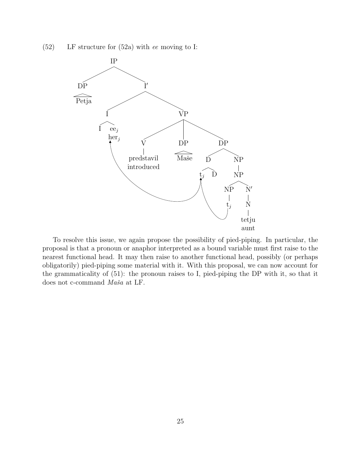(52) LF structure for (52a) with ee moving to I:



To resolve this issue, we again propose the possibility of pied-piping. In particular, the proposal is that a pronoun or anaphor interpreted as a bound variable must first raise to the nearest functional head. It may then raise to another functional head, possibly (or perhaps obligatorily) pied-piping some material with it. With this proposal, we can now account for the grammaticality of (51): the pronoun raises to I, pied-piping the DP with it, so that it does not c-command  $Maša$  at LF.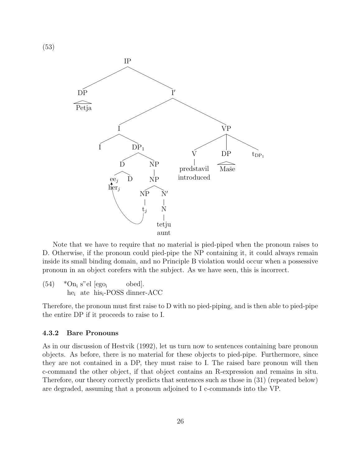

Note that we have to require that no material is pied-piped when the pronoun raises to D. Otherwise, if the pronoun could pied-pipe the NP containing it, it could always remain inside its small binding domain, and no Principle B violation would occur when a possessive pronoun in an object corefers with the subject. As we have seen, this is incorrect.

 $(54)$  \*On<sub>i</sub> s"el [ego<sub>i</sub> he<sup>i</sup> ate hisi-POSS dinner-ACC obed].

Therefore, the pronoun must first raise to D with no pied-piping, and is then able to pied-pipe the entire DP if it proceeds to raise to I.

#### 4.3.2 Bare Pronouns

(53)

As in our discussion of Hestvik (1992), let us turn now to sentences containing bare pronoun objects. As before, there is no material for these objects to pied-pipe. Furthermore, since they are not contained in a DP, they must raise to I. The raised bare pronoun will then c-command the other object, if that object contains an R-expression and remains in situ. Therefore, our theory correctly predicts that sentences such as those in (31) (repeated below) are degraded, assuming that a pronoun adjoined to I c-commands into the VP.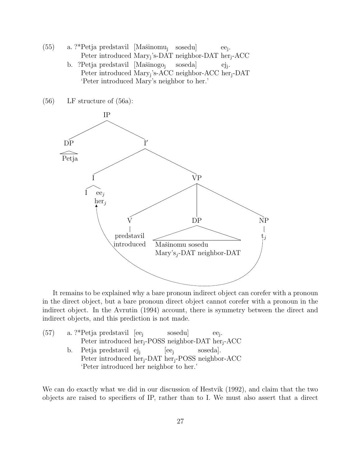- (55) a. ?\*Petja predstavil [Mašinomu<sub>j</sub> sosedu] Peter introduced Mary<sub>j</sub>'s-DAT neighbor-DAT her<sub>j</sub>-ACC ee<sup>j</sup> .
	- b. ?Petja predstavil [Mašinogo<sub>j</sub> Peter introduced Mary<sub>j</sub>'s-ACC neighbor-ACC her<sub>j</sub>-DAT soseda] ejj . 'Peter introduced Mary's neighbor to her.'

(56) LF structure of (56a):



It remains to be explained why a bare pronoun indirect object can corefer with a pronoun in the direct object, but a bare pronoun direct object cannot corefer with a pronoun in the indirect object. In the Avrutin (1994) account, there is symmetry between the direct and indirect objects, and this prediction is not made.

| (57) | a. ?*Petja predstavil [ee <sub>i</sub> ]                                   |  | sosedu   | $ee_i$ . |  |
|------|----------------------------------------------------------------------------|--|----------|----------|--|
|      | Peter introduced her <sub>i</sub> -POSS neighbor-DAT her <sub>i</sub> -ACC |  |          |          |  |
|      | b. Petja predstavil ej                                                     |  | $ ee_i $ | soseda.  |  |
|      | Peter introduced her <sub>i</sub> -DAT her <sub>i</sub> -POSS neighbor-ACC |  |          |          |  |
|      | 'Peter introduced her neighbor to her.'                                    |  |          |          |  |

We can do exactly what we did in our discussion of Hestvik (1992), and claim that the two objects are raised to specifiers of IP, rather than to I. We must also assert that a direct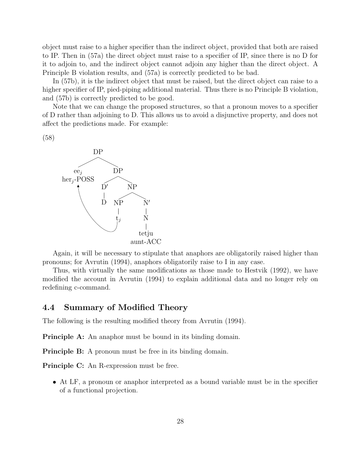object must raise to a higher specifier than the indirect object, provided that both are raised to IP. Then in (57a) the direct object must raise to a specifier of IP, since there is no D for it to adjoin to, and the indirect object cannot adjoin any higher than the direct object. A Principle B violation results, and (57a) is correctly predicted to be bad.

In (57b), it is the indirect object that must be raised, but the direct object can raise to a higher specifier of IP, pied-piping additional material. Thus there is no Principle B violation, and (57b) is correctly predicted to be good.

Note that we can change the proposed structures, so that a pronoun moves to a specifier of D rather than adjoining to D. This allows us to avoid a disjunctive property, and does not affect the predictions made. For example:

(58)



Again, it will be necessary to stipulate that anaphors are obligatorily raised higher than pronouns; for Avrutin (1994), anaphors obligatorily raise to I in any case.

Thus, with virtually the same modifications as those made to Hestvik (1992), we have modified the account in Avrutin (1994) to explain additional data and no longer rely on redefining c-command.

### 4.4 Summary of Modified Theory

The following is the resulting modified theory from Avrutin (1994).

**Principle A:** An anaphor must be bound in its binding domain.

**Principle B:** A pronoun must be free in its binding domain.

Principle C: An R-expression must be free.

• At LF, a pronoun or anaphor interpreted as a bound variable must be in the specifier of a functional projection.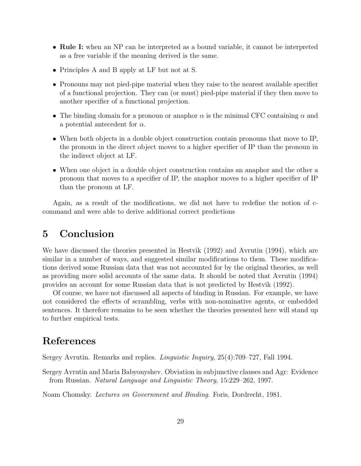- Rule I: when an NP can be interpreted as a bound variable, it cannot be interpreted as a free variable if the meaning derived is the same.
- Principles A and B apply at LF but not at S.
- Pronouns may not pied-pipe material when they raise to the nearest available specifier of a functional projection. They can (or must) pied-pipe material if they then move to another specifier of a functional projection.
- The binding domain for a pronoun or anaphor  $\alpha$  is the minimal CFC containing  $\alpha$  and a potential antecedent for  $\alpha$ .
- When both objects in a double object construction contain pronouns that move to IP, the pronoun in the direct object moves to a higher specifier of IP than the pronoun in the indirect object at LF.
- When one object in a double object construction contains an anaphor and the other a pronoun that moves to a specifier of IP, the anaphor moves to a higher specifier of IP than the pronoun at LF.

Again, as a result of the modifications, we did not have to redefine the notion of ccommand and were able to derive additional correct predictions

# 5 Conclusion

We have discussed the theories presented in Hestvik (1992) and Avrutin (1994), which are similar in a number of ways, and suggested similar modifications to them. These modifications derived some Russian data that was not accounted for by the original theories, as well as providing more solid accounts of the same data. It should be noted that Avrutin (1994) provides an account for some Russian data that is not predicted by Hestvik (1992).

Of course, we have not discussed all aspects of binding in Russian. For example, we have not considered the effects of scrambling, verbs with non-nominative agents, or embedded sentences. It therefore remains to be seen whether the theories presented here will stand up to further empirical tests.

## References

Sergey Avrutin. Remarks and replies. Linguistic Inquiry, 25(4):709–727, Fall 1994.

Sergey Avrutin and Maria Babyonyshev. Obviation in subjunctive clauses and Agr: Evidence from Russian. Natural Language and Linguistic Theory, 15:229–262, 1997.

Noam Chomsky. Lectures on Government and Binding. Foris, Dordrecht, 1981.